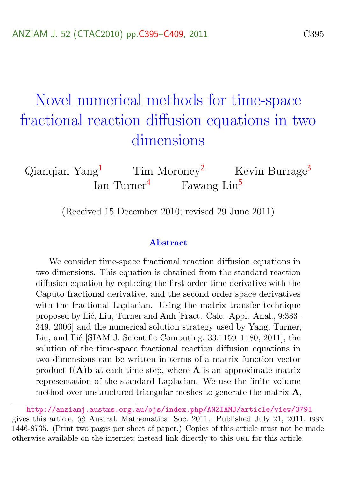# <span id="page-0-0"></span>Novel numerical methods for time-space fractional reaction diffusion equations in two dimensions

Qianqian Yang<sup>[1](#page-14-1)</sup> Tim Moroney<sup>[2](#page-14-2)</sup> Kevin Burrage<sup>[3](#page-14-3)</sup> Ian Turner<sup>[4](#page-14-4)</sup> Fawang Liu<sup>[5](#page-14-0)</sup>

(Received 15 December 2010; revised 29 June 2011)

#### Abstract

We consider time-space fractional reaction diffusion equations in two dimensions. This equation is obtained from the standard reaction diffusion equation by replacing the first order time derivative with the Caputo fractional derivative, and the second order space derivatives with the fractional Laplacian. Using the matrix transfer technique proposed by Ilić, Liu, Turner and Anh [Fract. Calc. Appl. Anal., 9:333– 349, 2006] and the numerical solution strategy used by Yang, Turner, Liu, and Ilić [SIAM J. Scientific Computing, 33:1159–1180, 2011], the solution of the time-space fractional reaction diffusion equations in two dimensions can be written in terms of a matrix function vector product  $f(A)$ b at each time step, where A is an approximate matrix representation of the standard Laplacian. We use the finite volume method over unstructured triangular meshes to generate the matrix  $\bf{A}$ ,

<http://anziamj.austms.org.au/ojs/index.php/ANZIAMJ/article/view/3791> gives this article, c Austral. Mathematical Soc. 2011. Published July 21, 2011. issn 1446-8735. (Print two pages per sheet of paper.) Copies of this article must not be made otherwise available on the internet; instead link directly to this url for this article.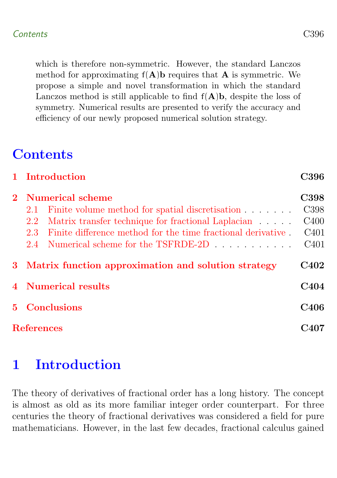which is therefore non-symmetric. However, the standard Lanczos method for approximating  $f(A)$ b requires that A is symmetric. We propose a simple and novel transformation in which the standard Lanczos method is still applicable to find  $f(A)b$ , despite the loss of symmetry. Numerical results are presented to verify the accuracy and efficiency of our newly proposed numerical solution strategy.

[1 Introduction](#page-1-0) C396

## **Contents**

|                |                     | 2 Numerical scheme                                           | <b>C398</b>      |  |  |
|----------------|---------------------|--------------------------------------------------------------|------------------|--|--|
|                | 2.1                 | Finite volume method for spatial discretisation              | C398             |  |  |
|                | 2.2                 | Matrix transfer technique for fractional Laplacian           | C400             |  |  |
|                | 2.3                 | Finite difference method for the time fractional derivative. | C <sub>401</sub> |  |  |
|                | 2.4                 | Numerical scheme for the TSFRDE-2D                           | C <sub>401</sub> |  |  |
|                |                     | 3 Matrix function approximation and solution strategy        | <b>C402</b>      |  |  |
|                | 4 Numerical results |                                                              | C <sub>404</sub> |  |  |
| 5 <sup>1</sup> |                     | <b>Conclusions</b><br>C406                                   |                  |  |  |
|                | <b>References</b>   |                                                              |                  |  |  |

## <span id="page-1-0"></span>1 Introduction

The theory of derivatives of fractional order has a long history. The concept is almost as old as its more familiar integer order counterpart. For three centuries the theory of fractional derivatives was considered a field for pure mathematicians. However, in the last few decades, fractional calculus gained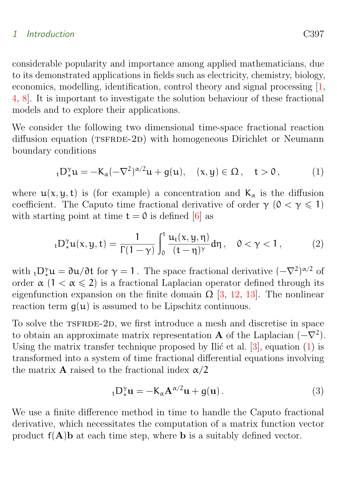### <span id="page-2-2"></span>1 Introduction C397

considerable popularity and importance among applied mathematicians, due to its demonstrated applications in fields such as electricity, chemistry, biology, economics, modelling, identification, control theory and signal processing [\[1,](#page-12-1) [4,](#page-12-2) [8\]](#page-13-0). It is important to investigate the solution behaviour of these fractional models and to explore their applications.

We consider the following two dimensional time-space fractional reaction diffusion equation (TSFRDE-2D) with homogeneous Dirichlet or Neumann boundary conditions

<span id="page-2-0"></span>
$$
{}_{t}D_{*}^{\gamma}u=-K_{\alpha}(-\nabla^{2})^{\alpha/2}u+g(u),\quad (x,y)\in\Omega\,,\quad t>0\,,\qquad \quad (1)
$$

where  $u(x, y, t)$  is (for example) a concentration and  $K_{\alpha}$  is the diffusion coefficient. The Caputo time fractional derivative of order  $\gamma$  ( $0 < \gamma \leq 1$ ) with starting point at time  $t = 0$  is defined [\[6\]](#page-12-3) as

$$
_{t}D_{\ast}^{\gamma}u(x,y,t)=\frac{1}{\Gamma(1-\gamma)}\int_{0}^{t}\frac{u_{t}(x,y,\eta)}{(t-\eta)^{\gamma}}d\eta\,,\quad 0<\gamma<1\,,\qquad \quad \ (2)
$$

with  $_t D_*^{\gamma} u = \partial u / \partial t$  for  $\gamma = 1$ . The space fractional derivative  $(-\nabla^2)^{\alpha/2}$  of order  $\alpha$  (1 <  $\alpha \le 2$ ) is a fractional Laplacian operator defined through its eigenfunction expansion on the finite domain  $\Omega$  [\[3,](#page-12-4) [12,](#page-13-1) [13\]](#page-13-2). The nonlinear reaction term  $g(u)$  is assumed to be Lipschitz continuous.

To solve the TSFRDE-2D, we first introduce a mesh and discretise in space to obtain an approximate matrix representation **A** of the Laplacian  $(-\nabla^2)$ . Using the matrix transfer technique proposed by Ilić et al.  $[3]$ , equation  $(1)$  is transformed into a system of time fractional differential equations involving the matrix **A** raised to the fractional index  $\alpha/2$ 

<span id="page-2-1"></span>
$$
{}_{t}D_{*}^{\gamma}u = -K_{\alpha}A^{\alpha/2}u + g(u).
$$
 (3)

We use a finite difference method in time to handle the Caputo fractional derivative, which necessitates the computation of a matrix function vector product  $f(A)$ **b** at each time step, where **b** is a suitably defined vector.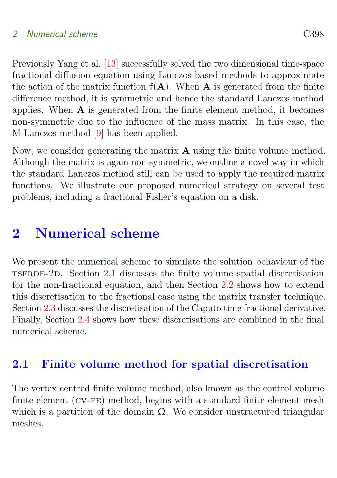<span id="page-3-2"></span>Previously Yang et al. [\[13\]](#page-13-2) successfully solved the two dimensional time-space fractional diffusion equation using Lanczos-based methods to approximate the action of the matrix function  $f(A)$ . When A is generated from the finite difference method, it is symmetric and hence the standard Lanczos method applies. When  $A$  is generated from the finite element method, it becomes non-symmetric due to the influence of the mass matrix. In this case, the M-Lanczos method [\[9\]](#page-13-3) has been applied.

Now, we consider generating the matrix A using the finite volume method. Although the matrix is again non-symmetric, we outline a novel way in which the standard Lanczos method still can be used to apply the required matrix functions. We illustrate our proposed numerical strategy on several test problems, including a fractional Fisher's equation on a disk.

### <span id="page-3-0"></span>2 Numerical scheme

We present the numerical scheme to simulate the solution behaviour of the tsfrde-2d. Section [2.1](#page-3-1) discusses the finite volume spatial discretisation for the non-fractional equation, and then Section [2.2](#page-5-0) shows how to extend this discretisation to the fractional case using the matrix transfer technique. Section [2.3](#page-6-0) discusses the discretisation of the Caputo time fractional derivative. Finally, Section [2.4](#page-6-1) shows how these discretisations are combined in the final numerical scheme.

### <span id="page-3-1"></span>2.1 Finite volume method for spatial discretisation

The vertex centred finite volume method, also known as the control volume finite element (CV-FE) method, begins with a standard finite element mesh which is a partition of the domain  $\Omega$ . We consider unstructured triangular meshes.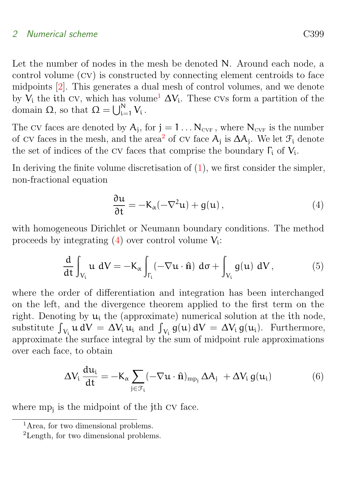<span id="page-4-4"></span>Let the number of nodes in the mesh be denoted N. Around each node, a control volume (cv) is constructed by connecting element centroids to face midpoints [\[2\]](#page-12-5). This generates a dual mesh of control volumes, and we denote by  $V_i$  the ith cv, which has volume<sup>[1](#page-4-0)</sup>  $\Delta V_i$ . These cvs form a partition of the domain  $\Omega$ , so that  $\Omega = \bigcup_{i=1}^{N} V_i$ .

The CV faces are denoted by  $A_j$ , for  $j = 1 \ldots N_{\text{CVF}}$ , where  $N_{\text{CVF}}$  is the number of  $\text{cv}$  faces in the mesh, and the area<sup>[2](#page-4-1)</sup> of  $\text{cv}$  face  $A_j$  is  $\Delta A_j$ . We let  $\mathcal{F}_i$  denote the set of indices of the CV faces that comprise the boundary  $\Gamma_i$  of  $V_i$ .

In deriving the finite volume discretisation of  $(1)$ , we first consider the simpler, non-fractional equation

<span id="page-4-2"></span>
$$
\frac{\partial \mathfrak{u}}{\partial t} = -K_{\alpha}(-\nabla^2 \mathfrak{u}) + g(\mathfrak{u}), \qquad (4)
$$

with homogeneous Dirichlet or Neumann boundary conditions. The method proceeds by integrating  $(4)$  over control volume  $V_i$ :

$$
\frac{d}{dt} \int_{V_i} u \ dV = -K_\alpha \int_{\Gamma_i} (-\nabla u \cdot \hat{n}) \ d\sigma + \int_{V_i} g(u) \ dV, \tag{5}
$$

where the order of differentiation and integration has been interchanged on the left, and the divergence theorem applied to the first term on the right. Denoting by  $u_i$  the (approximate) numerical solution at the ith node, substitute  $\int_{V_i} u dV = \Delta V_i u_i$  and  $\int_{V_i} g(u) dV = \Delta V_i g(u_i)$ . Furthermore, approximate the surface integral by the sum of midpoint rule approximations over each face, to obtain

<span id="page-4-3"></span>
$$
\Delta V_{i} \frac{du_{i}}{dt} = -K_{\alpha} \sum_{j \in \mathcal{F}_{i}} (-\nabla u \cdot \hat{\mathbf{n}})_{mp_{j}} \Delta A_{j} + \Delta V_{i} g(u_{i})
$$
(6)

where mp<sub>j</sub> is the midpoint of the j<sup>th</sup> CV face.

<span id="page-4-0"></span><sup>&</sup>lt;sup>1</sup>Area, for two dimensional problems.

<span id="page-4-1"></span><sup>2</sup>Length, for two dimensional problems.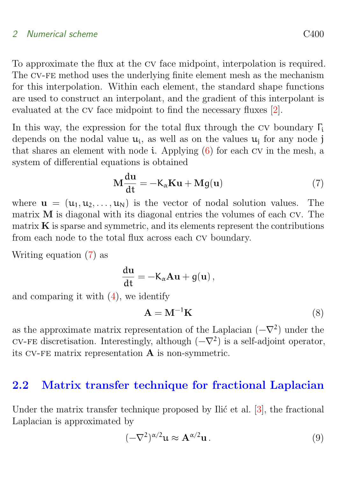<span id="page-5-4"></span>To approximate the flux at the cv face midpoint, interpolation is required. The cv-fe method uses the underlying finite element mesh as the mechanism for this interpolation. Within each element, the standard shape functions are used to construct an interpolant, and the gradient of this interpolant is evaluated at the cv face midpoint to find the necessary fluxes [\[2\]](#page-12-5).

In this way, the expression for the total flux through the CV boundary  $\Gamma_i$ depends on the nodal value  $u_i$ , as well as on the values  $u_j$  for any node j that shares an element with node i. Applying  $(6)$  for each CV in the mesh, a system of differential equations is obtained

<span id="page-5-1"></span>
$$
\mathbf{M}\frac{\mathrm{du}}{\mathrm{dt}} = -\mathbf{K}_{\alpha}\mathbf{K}\mathbf{u} + \mathbf{M}g(\mathbf{u})\tag{7}
$$

where  $\mathbf{u} = (\mathbf{u}_1, \mathbf{u}_2, \dots, \mathbf{u}_N)$  is the vector of nodal solution values. The matrix M is diagonal with its diagonal entries the volumes of each cv. The matrix  $\bf{K}$  is sparse and symmetric, and its elements represent the contributions from each node to the total flux across each cv boundary.

Writing equation [\(7\)](#page-5-1) as

$$
\frac{\mathrm{d}\mathbf{u}}{\mathrm{d}\mathbf{t}} = -\mathbf{K}_{\alpha}\mathbf{A}\mathbf{u} + g(\mathbf{u}),
$$

and comparing it with  $(4)$ , we identify

<span id="page-5-3"></span>
$$
\mathbf{A} = \mathbf{M}^{-1} \mathbf{K} \tag{8}
$$

as the approximate matrix representation of the Laplacian  $(-\nabla^2)$  under the CV-FE discretisation. Interestingly, although  $(-\nabla^2)$  is a self-adjoint operator, its cv-fe matrix representation A is non-symmetric.

### <span id="page-5-0"></span>2.2 Matrix transfer technique for fractional Laplacian

Under the matrix transfer technique proposed by Ilić et al.  $[3]$ , the fractional Laplacian is approximated by

<span id="page-5-2"></span>
$$
(-\nabla^2)^{\alpha/2} \mathbf{u} \approx \mathbf{A}^{\alpha/2} \mathbf{u} \,. \tag{9}
$$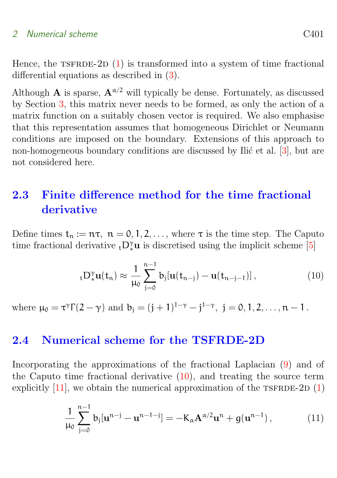<span id="page-6-4"></span>Hence, the  $TSTRDE-2D(1)$  $TSTRDE-2D(1)$  is transformed into a system of time fractional differential equations as described in [\(3\)](#page-2-1).

Although **A** is sparse,  $\mathbf{A}^{\alpha/2}$  will typically be dense. Fortunately, as discussed by Section [3,](#page-7-0) this matrix never needs to be formed, as only the action of a matrix function on a suitably chosen vector is required. We also emphasise that this representation assumes that homogeneous Dirichlet or Neumann conditions are imposed on the boundary. Extensions of this approach to non-homogeneous boundary conditions are discussed by Ilić et al.  $[3]$ , but are not considered here.

### <span id="page-6-0"></span>2.3 Finite difference method for the time fractional derivative

Define times  $t_n := n\tau$ ,  $n = 0, 1, 2, \ldots$ , where  $\tau$  is the time step. The Caputo time fractional derivative  ${}_{t}D_{*}^{\gamma}u$  is discretised using the implicit scheme [\[5\]](#page-12-6)

<span id="page-6-2"></span>
$$
{}_{t}D_{*}^{\gamma}\mathbf{u}(t_{n}) \approx \frac{1}{\mu_{0}}\sum_{j=0}^{n-1}b_{j}[\mathbf{u}(t_{n-j}) - \mathbf{u}(t_{n-j-1})], \qquad (10)
$$

where  $\mu_0 = \tau^{\gamma} \Gamma(2-\gamma)$  and  $b_j = (j+1)^{1-\gamma} - j^{1-\gamma}$ ,  $j = 0, 1, 2, ..., n-1$ .

### <span id="page-6-1"></span>2.4 Numerical scheme for the TSFRDE-2D

Incorporating the approximations of the fractional Laplacian [\(9\)](#page-5-2) and of the Caputo time fractional derivative [\(10\)](#page-6-2), and treating the source term explicitly  $[11]$ , we obtain the numerical approximation of the TSFRDE-2D  $(1)$ 

<span id="page-6-3"></span>
$$
\frac{1}{\mu_0} \sum_{j=0}^{n-1} b_j [\mathbf{u}^{n-j} - \mathbf{u}^{n-1-j}] = -K_\alpha \mathbf{A}^{\alpha/2} \mathbf{u}^n + g(\mathbf{u}^{n-1}), \qquad (11)
$$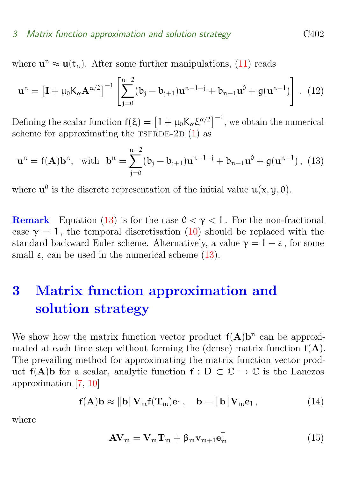### <span id="page-7-2"></span>3 Matrix function approximation and solution strategy C402

where  $\mathbf{u}^{\mathfrak{n}} \approx \mathbf{u}(\mathfrak{t}_{\mathfrak{n}})$ . After some further manipulations,  $(11)$  reads

$$
\mathbf{u}^{n} = \left[\mathbf{I} + \mu_{0} \mathbf{K}_{\alpha} \mathbf{A}^{\alpha/2}\right]^{-1} \left[\sum_{j=0}^{n-2} (\mathbf{b}_{j} - \mathbf{b}_{j+1}) \mathbf{u}^{n-1-j} + \mathbf{b}_{n-1} \mathbf{u}^{0} + g(\mathbf{u}^{n-1})\right].
$$
 (12)

Defining the scalar function  $f(\xi) = \left[1 + \mu_0 K_\alpha \xi^{\alpha/2}\right]^{-1}$ , we obtain the numerical scheme for approximating the  $TSFRDE-2D(1)$  $TSFRDE-2D(1)$  as

<span id="page-7-1"></span>
$$
\mathbf{u}^{n} = f(\mathbf{A})\mathbf{b}^{n}, \text{ with } \mathbf{b}^{n} = \sum_{j=0}^{n-2} (\mathbf{b}_{j} - \mathbf{b}_{j+1}) \mathbf{u}^{n-1-j} + \mathbf{b}_{n-1} \mathbf{u}^{0} + g(\mathbf{u}^{n-1}), \tag{13}
$$

where  $\mathbf{u}^0$  is the discrete representation of the initial value  $\mathbf{u}(\mathbf{x}, \mathbf{y}, \mathbf{0})$ .

**Remark** Equation [\(13\)](#page-7-1) is for the case  $0 < \gamma < 1$ . For the non-fractional case  $\gamma = 1$ , the temporal discretisation [\(10\)](#page-6-2) should be replaced with the standard backward Euler scheme. Alternatively, a value  $\gamma = 1 - \varepsilon$ , for some small  $\varepsilon$ , can be used in the numerical scheme [\(13\)](#page-7-1).

## <span id="page-7-0"></span>3 Matrix function approximation and solution strategy

We show how the matrix function vector product  $f(A)b^n$  can be approximated at each time step without forming the (dense) matrix function  $f(A)$ . The prevailing method for approximating the matrix function vector product f(A)b for a scalar, analytic function f : D  $\subset \mathbb{C} \to \mathbb{C}$  is the Lanczos approximation [\[7,](#page-13-5) [10\]](#page-13-6)

$$
f(\mathbf{A})\mathbf{b} \approx \|\mathbf{b}\|\mathbf{V}_{\mathfrak{m}}f(\mathbf{T}_{\mathfrak{m}})\mathbf{e}_1, \quad \mathbf{b} = \|\mathbf{b}\|\mathbf{V}_{\mathfrak{m}}\mathbf{e}_1, \tag{14}
$$

where

$$
AV_m = V_m T_m + \beta_m v_{m+1} e_m^T
$$
 (15)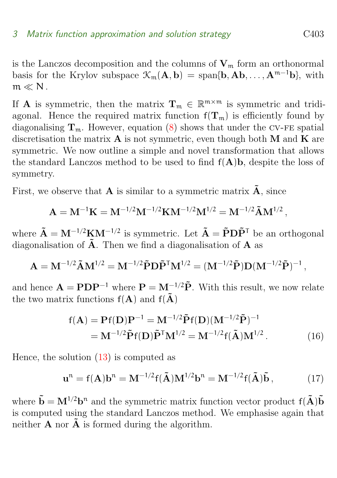is the Lanczos decomposition and the columns of  $V_m$  form an orthonormal basis for the Krylov subspace  $\mathcal{K}_{m}(A, b) = \text{span}\{b, Ab, \ldots, A^{m-1}b\}$ , with  $m \ll N$ .

If **A** is symmetric, then the matrix  $T_m \in \mathbb{R}^{m \times m}$  is symmetric and tridiagonal. Hence the required matrix function  $f(T_m)$  is efficiently found by diagonalising  $T_m$ . However, equation [\(8\)](#page-5-3) shows that under the CV-FE spatial discretisation the matrix  $A$  is not symmetric, even though both  $M$  and  $K$  are symmetric. We now outline a simple and novel transformation that allows the standard Lanczos method to be used to find  $f(A)$ b, despite the loss of symmetry.

First, we observe that **A** is similar to a symmetric matrix  $\tilde{A}$ , since

$$
A = M^{-1}K = M^{-1/2}M^{-1/2}KM^{-1/2}M^{1/2} = M^{-1/2}\tilde{A}M^{1/2},
$$

where  $\tilde{\mathbf{A}} = \mathbf{M}^{-1/2} \mathbf{K} \mathbf{M}^{-1/2}$  is symmetric. Let  $\tilde{\mathbf{A}} = \tilde{\mathbf{P}} \mathbf{D} \tilde{\mathbf{P}}^{\mathsf{T}}$  be an orthogonal diagonalisation of  $\tilde{A}$ . Then we find a diagonalisation of A as

$$
\mathbf{A} = \mathbf{M}^{-1/2} \tilde{\mathbf{A}} \mathbf{M}^{1/2} = \mathbf{M}^{-1/2} \tilde{\mathbf{P}} \mathbf{D} \tilde{\mathbf{P}}^{\mathsf{T}} \mathbf{M}^{1/2} = (\mathbf{M}^{-1/2} \tilde{\mathbf{P}}) \mathbf{D} (\mathbf{M}^{-1/2} \tilde{\mathbf{P}})^{-1},
$$

and hence  $\mathbf{A} = \mathbf{P} \mathbf{D} \mathbf{P}^{-1}$  where  $\mathbf{P} = \mathbf{M}^{-1/2} \tilde{\mathbf{P}}$ . With this result, we now relate the two matrix functions  $f(A)$  and  $f(\tilde{A})$ 

$$
f(\mathbf{A}) = \mathbf{P}f(\mathbf{D})\mathbf{P}^{-1} = \mathbf{M}^{-1/2}\tilde{\mathbf{P}}f(\mathbf{D})(\mathbf{M}^{-1/2}\tilde{\mathbf{P}})^{-1}
$$
  
=  $\mathbf{M}^{-1/2}\tilde{\mathbf{P}}f(\mathbf{D})\tilde{\mathbf{P}}^{\mathsf{T}}\mathbf{M}^{1/2} = \mathbf{M}^{-1/2}f(\tilde{\mathbf{A}})\mathbf{M}^{1/2}$ . (16)

Hence, the solution [\(13\)](#page-7-1) is computed as

$$
\mathbf{u}^{\mathrm{n}} = \mathbf{f}(\mathbf{A})\mathbf{b}^{\mathrm{n}} = \mathbf{M}^{-1/2}\mathbf{f}(\tilde{\mathbf{A}})\mathbf{M}^{1/2}\mathbf{b}^{\mathrm{n}} = \mathbf{M}^{-1/2}\mathbf{f}(\tilde{\mathbf{A}})\tilde{\mathbf{b}},\tag{17}
$$

where  $\tilde{\mathbf{b}} = \mathbf{M}^{1/2} \mathbf{b}^n$  and the symmetric matrix function vector product  $f(\tilde{\mathbf{A}})\tilde{\mathbf{b}}$ is computed using the standard Lanczos method. We emphasise again that neither  $\bf{A}$  nor  $\bf{\tilde{A}}$  is formed during the algorithm.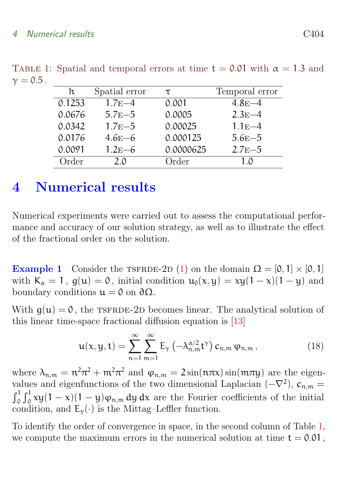<span id="page-9-1"></span>

| h.     | Spatial error | τ         | Temporal error |
|--------|---------------|-----------|----------------|
| 0.1253 | $1.7E-4$      | 0.001     | $4.8E - 4$     |
| 0.0676 | $5.7E - 5$    | 0.0005    | $2.3E-4$       |
| 0.0342 | $1.7E - 5$    | 0.00025   | $1.1E-4$       |
| 0.0176 | $4.6E-6$      | 0.000125  | $5.6E - 5$     |
| 0.0091 | $1.2E-6$      | 0.0000625 | $2.7E - 5$     |
| Order  | 20            | Order     | 1 0            |

<span id="page-9-2"></span>TABLE 1: Spatial and temporal errors at time  $t = 0.01$  with  $\alpha = 1.3$  and  $\gamma = 0.5$ .

## <span id="page-9-0"></span>4 Numerical results

Numerical experiments were carried out to assess the computational performance and accuracy of our solution strategy, as well as to illustrate the effect of the fractional order on the solution.

Example 1 Consider the TSFRDE-2D [\(1\)](#page-2-0) on the domain  $\Omega = [0, 1] \times [0, 1]$ with  $K_{\alpha} = 1$ ,  $g(u) = 0$ , initial condition  $u_0(x, y) = xy(1 - x)(1 - y)$  and boundary conditions  $\mathfrak{u} = 0$  on  $\partial \Omega$ .

With  $q(u) = 0$ , the TSFRDE-2D becomes linear. The analytical solution of this linear time-space fractional diffusion equation is [\[13\]](#page-13-2)

$$
\mathbf{u}(\mathbf{x}, \mathbf{y}, \mathbf{t}) = \sum_{n=1}^{\infty} \sum_{m=1}^{\infty} E_{\gamma} \left( -\lambda_{n,m}^{\alpha/2} \mathbf{t}^{\gamma} \right) c_{n,m} \varphi_{n,m}, \qquad (18)
$$

where  $\lambda_{n,m} = n^2 \pi^2 + m^2 \pi^2$  and  $\varphi_{n,m} = 2 \sin(n \pi x) \sin(m \pi y)$  are the eigenvalues and eigenfunctions of the two dimensional Laplacian  $(-\nabla^2)$ ,  $c_{n,m}$  $\int_0^1 \int_0^1 xy(1-x)(1-y)\varphi_{n,m} dy dx$  are the Fourier coefficients of the initial condition, and  $E_{\gamma}(\cdot)$  is the Mittag–Leffler function.

To identify the order of convergence in space, in the second column of Table [1,](#page-9-1) we compute the maximum errors in the numerical solution at time  $t = 0.01$ ,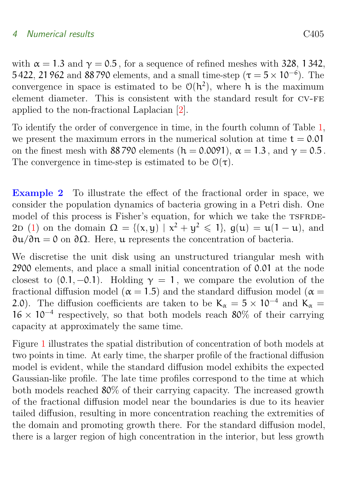<span id="page-10-0"></span>with  $\alpha = 1.3$  and  $\gamma = 0.5$ , for a sequence of refined meshes with 328, 1342, 5 422, 21 962 and 88 790 elements, and a small time-step ( $\tau = 5 \times 10^{-6}$ ). The convergence in space is estimated to be  $\mathcal{O}(h^2)$ , where h is the maximum element diameter. This is consistent with the standard result for cv-fe applied to the non-fractional Laplacian [\[2\]](#page-12-5).

To identify the order of convergence in time, in the fourth column of Table [1,](#page-9-1) we present the maximum errors in the numerical solution at time  $t = 0.01$ on the finest mesh with 88 790 elements (h = 0.0091),  $\alpha = 1.3$ , and  $\gamma = 0.5$ . The convergence in time-step is estimated to be  $\mathcal{O}(\tau)$ .

Example 2 To illustrate the effect of the fractional order in space, we consider the population dynamics of bacteria growing in a Petri dish. One model of this process is Fisher's equation, for which we take the TSFRDE-2D [\(1\)](#page-2-0) on the domain  $\Omega = \{ (x, y) | x^2 + y^2 \leq 1 \}$ ,  $g(u) = u(1 - u)$ , and ∂u/∂n = 0 on ∂Ω. Here, u represents the concentration of bacteria.

We discretise the unit disk using an unstructured triangular mesh with 2900 elements, and place a small initial concentration of 0.01 at the node closest to  $(0.1, -0.1)$ . Holding  $\gamma = 1$ , we compare the evolution of the fractional diffusion model ( $\alpha = 1.5$ ) and the standard diffusion model ( $\alpha =$ 2.0). The diffusion coefficients are taken to be  $K_{\alpha} = 5 \times 10^{-4}$  and  $K_{\alpha} =$  $16 \times 10^{-4}$  respectively, so that both models reach 80% of their carrying capacity at approximately the same time.

Figure [1](#page-11-1) illustrates the spatial distribution of concentration of both models at two points in time. At early time, the sharper profile of the fractional diffusion model is evident, while the standard diffusion model exhibits the expected Gaussian-like profile. The late time profiles correspond to the time at which both models reached 80% of their carrying capacity. The increased growth of the fractional diffusion model near the boundaries is due to its heavier tailed diffusion, resulting in more concentration reaching the extremities of the domain and promoting growth there. For the standard diffusion model, there is a larger region of high concentration in the interior, but less growth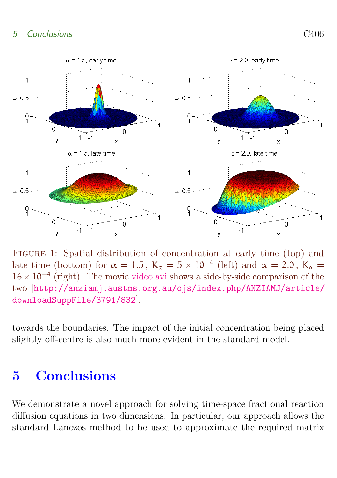

<span id="page-11-1"></span>FIGURE 1: Spatial distribution of concentration at early time (top) and late time (bottom) for  $\alpha = 1.5$ ,  $K_{\alpha} = 5 \times 10^{-4}$  (left) and  $\alpha = 2.0$ ,  $K_{\alpha} =$ 16×10<sup>−</sup><sup>4</sup> (right). The movie [video.avi](http://anziamj.austms.org.au/ojs/index.php/ANZIAMJ/article/downloadSuppFile/3791/832) shows a side-by-side comparison of the two [[http://anziamj.austms.org.au/ojs/index.php/ANZIAMJ/article/](http://anziamj.austms.org.au/ojs/index.php/ANZIAMJ/article/downloadSuppFile/3791/832) [downloadSuppFile/3791/832](http://anziamj.austms.org.au/ojs/index.php/ANZIAMJ/article/downloadSuppFile/3791/832)].

towards the boundaries. The impact of the initial concentration being placed slightly off-centre is also much more evident in the standard model.

## <span id="page-11-0"></span>5 Conclusions

We demonstrate a novel approach for solving time-space fractional reaction diffusion equations in two dimensions. In particular, our approach allows the standard Lanczos method to be used to approximate the required matrix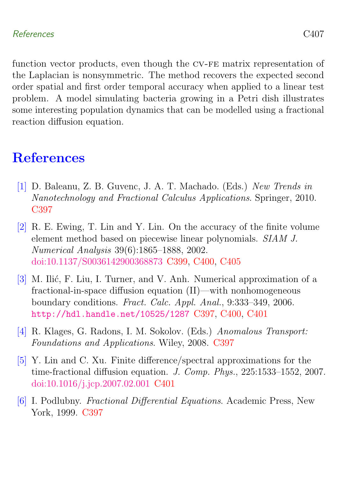### References C407

function vector products, even though the CV-FE matrix representation of the Laplacian is nonsymmetric. The method recovers the expected second order spatial and first order temporal accuracy when applied to a linear test problem. A model simulating bacteria growing in a Petri dish illustrates some interesting population dynamics that can be modelled using a fractional reaction diffusion equation.

## <span id="page-12-0"></span>**References**

- <span id="page-12-1"></span>[1] D. Baleanu, Z. B. Guvenc, J. A. T. Machado. (Eds.) New Trends in Nanotechnology and Fractional Calculus Applications. Springer, 2010. [C397](#page-2-2)
- <span id="page-12-5"></span>[2] R. E. Ewing, T. Lin and Y. Lin. On the accuracy of the finite volume element method based on piecewise linear polynomials. SIAM J. Numerical Analysis 39(6):1865–1888, 2002. [doi:10.1137/S0036142900368873](http://dx.doi.org/10.1137/S0036142900368873) [C399,](#page-4-4) [C400,](#page-5-4) [C405](#page-10-0)
- <span id="page-12-4"></span>[3] M. Ilić, F. Liu, I. Turner, and V. Anh. Numerical approximation of a fractional-in-space diffusion equation (II)—with nonhomogeneous boundary conditions. Fract. Calc. Appl. Anal., 9:333–349, 2006. <http://hdl.handle.net/10525/1287> [C397,](#page-2-2) [C400,](#page-5-4) [C401](#page-6-4)
- <span id="page-12-2"></span>[4] R. Klages, G. Radons, I. M. Sokolov. (Eds.) Anomalous Transport: Foundations and Applications. Wiley, 2008. [C397](#page-2-2)
- <span id="page-12-6"></span>[5] Y. Lin and C. Xu. Finite difference/spectral approximations for the time-fractional diffusion equation. J. Comp. Phys., 225:1533–1552, 2007. [doi:10.1016/j.jcp.2007.02.001](http://dx.doi.org/10.1016/j.jcp.2007.02.001) [C401](#page-6-4)
- <span id="page-12-3"></span>[6] I. Podlubny. Fractional Differential Equations. Academic Press, New York, 1999. [C397](#page-2-2)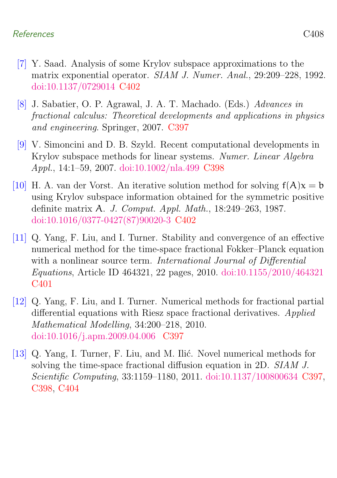### References C408

- <span id="page-13-5"></span>[7] Y. Saad. Analysis of some Krylov subspace approximations to the matrix exponential operator. SIAM J. Numer. Anal., 29:209–228, 1992. [doi:10.1137/0729014](http://dx.doi.org/10.1137/0729014) [C402](#page-7-2)
- <span id="page-13-0"></span>[8] J. Sabatier, O. P. Agrawal, J. A. T. Machado. (Eds.) Advances in fractional calculus: Theoretical developments and applications in physics and engineering. Springer, 2007. [C397](#page-2-2)
- <span id="page-13-3"></span>[9] V. Simoncini and D. B. Szyld. Recent computational developments in Krylov subspace methods for linear systems. Numer. Linear Algebra Appl., 14:1–59, 2007. [doi:10.1002/nla.499](http://dx.doi.org/10.1002/nla.499) [C398](#page-3-2)
- <span id="page-13-6"></span>[10] H. A. van der Vorst. An iterative solution method for solving  $f(A)x = b$ using Krylov subspace information obtained for the symmetric positive definite matrix A. J. Comput. Appl. Math., 18:249–263, 1987. [doi:10.1016/0377-0427\(87\)90020-3](http://dx.doi.org/10.1016/0377-0427(87)90020-3) [C402](#page-7-2)
- <span id="page-13-4"></span>[11] Q. Yang, F. Liu, and I. Turner. Stability and convergence of an effective numerical method for the time-space fractional Fokker–Planck equation with a nonlinear source term. International Journal of Differential Equations, Article ID 464321, 22 pages, 2010. [doi:10.1155/2010/464321](http://dx.doi.org/10.1155/2010/464321) [C401](#page-6-4)
- <span id="page-13-1"></span>[12] Q. Yang, F. Liu, and I. Turner. Numerical methods for fractional partial differential equations with Riesz space fractional derivatives. Applied Mathematical Modelling, 34:200–218, 2010. [doi:10.1016/j.apm.2009.04.006](http://dx.doi.org/10.1016/j.apm.2009.04.006 ) [C397](#page-2-2)
- <span id="page-13-2"></span>[13] Q. Yang, I. Turner, F. Liu, and M. Ilić. Novel numerical methods for solving the time-space fractional diffusion equation in 2D. SIAM J. Scientific Computing, 33:1159–1180, 2011. [doi:10.1137/100800634](http://dx.doi.org/10.1137/100800634) [C397,](#page-2-2) [C398,](#page-3-2) [C404](#page-9-2)